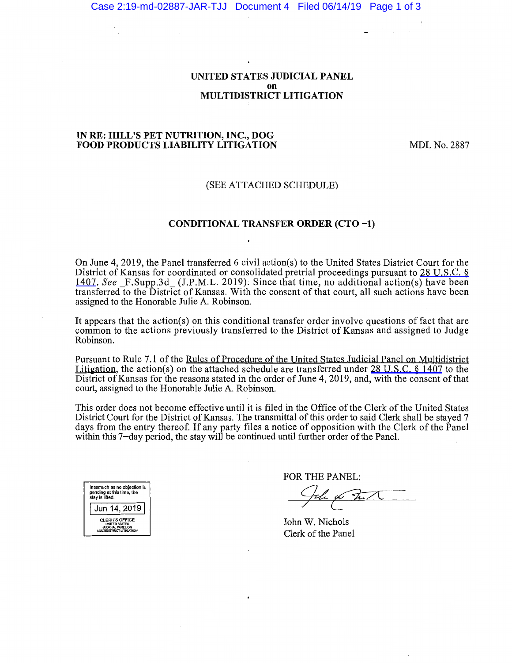#### UNITED STATES JUDICIAL PANEL on MULTIDISTRICT LITIGATION

#### IN RE: HILL'S PET NUTRITION, INC., DOG FOOD PRODUCTS LIABILITY LITIGATION

MDL No. 2887

#### (SEE ATTACHED SCHEDULE)

### CONDITIONAL TRANSFER ORDER (CTO -1)

On June 4, 2019, the Panel transferred 6 civil action(s) to the United States District Court for the District of Kansas for coordinated or consolidated pretrial proceedings pursuant to [28 U.S.C. §](https://www.westlaw.com/Link/Document/FullText?rs=USCLink&vr=3.0&findType=Y&cite=28%2B%2Bu%2Es%2Ec%2E%2B%2B%2B1407&clientid=USCourts) [1407](https://www.westlaw.com/Link/Document/FullText?rs=USCLink&vr=3.0&findType=Y&cite=28%2B%2Bu%2Es%2Ec%2E%2B%2B%2B1407&clientid=USCourts). *See* F.Supp.3d (J.P.M.L. 2019). Since that time, no additional action(s) have been transferred to the District of Kansas. With the consent of that court, all such actions have been assigned to the Honorable Julie A. Robinson.

It appears that the action(s) on this conditional transfer order involve questions of fact that are common to the actions previously transferred to the District of Kansas and assigned to Judge Robinson.

Pursuant to Rule 7.1 of the Rules of Procedure of the United States Judicial Panel on Multidistrict Litigation, the action(s) on the attached schedule are transferred under [28 U.S.C. § 1407](https://www.westlaw.com/Link/Document/FullText?rs=USCLink&vr=3.0&findType=Y&cite=28%2B%2Bu%2Es%2Ec%2E%2B%2B%2B%2B1407&clientid=USCourts) to the District of Kansas for the reasons stated in the order of June 4, 2019, and, with the consent of that court, assigned to the Honorable Julie A. Robinson.

This order does not become effective until it is filed in the Office of the Clerk of the United States District Court for the District of Kansas. The transmittal of this order to said Clerk shall be stayed 7 days from the entry thereof. If any party files a notice of opposition with the Clerk of the Panel within this 7-day period, the stay will be continued until further order of the Panel.

| Inasmuch as no objection is<br>pending at this time, the<br>slay is lifted.                    |  |  |  |  |
|------------------------------------------------------------------------------------------------|--|--|--|--|
| Jun 14, 2019                                                                                   |  |  |  |  |
| <b>CLERK'S OFFICE</b><br><b>UNITED STATES</b><br>JUDICIAL PANEL ON<br>MULTIDISTRICT LITIGATION |  |  |  |  |

FOR THE PANEL:

Fele W Ful

John W. Nichols Clerk of the Panel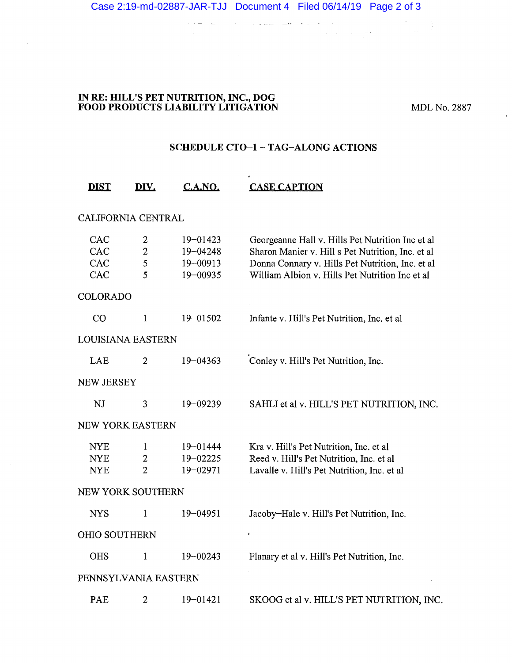#### **IN RE: HILL'S PET NUTRITION, INC., DOG FOOD PRODUCTS LIABILITY LITIGATION MDL No. 2887**

## **SCHEDULE CT0-1-TAG-ALONG ACTIONS**

 $\bullet$  .

|                      | <b>DIST</b>                            | DIV.                                             | C.A.NO.                                              | <b>CASE CAPTION</b>                                                                                                                                                                                          |  |
|----------------------|----------------------------------------|--------------------------------------------------|------------------------------------------------------|--------------------------------------------------------------------------------------------------------------------------------------------------------------------------------------------------------------|--|
|                      | <b>CALIFORNIA CENTRAL</b>              |                                                  |                                                      |                                                                                                                                                                                                              |  |
|                      | CAC<br><b>CAC</b><br>CAC<br><b>CAC</b> | $\overline{2}$<br>$\overline{2}$<br>5<br>5       | $19 - 01423$<br>$19 - 04248$<br>19-00913<br>19-00935 | Georgeanne Hall v. Hills Pet Nutrition Inc et al<br>Sharon Manier v. Hill s Pet Nutrition, Inc. et al<br>Donna Connary v. Hills Pet Nutrition, Inc. et al<br>William Albion v. Hills Pet Nutrition Inc et al |  |
|                      | <b>COLORADO</b>                        |                                                  |                                                      |                                                                                                                                                                                                              |  |
|                      | CO                                     | 1                                                | $19 - 01502$                                         | Infante v. Hill's Pet Nutrition, Inc. et al                                                                                                                                                                  |  |
| LOUISIANA EASTERN    |                                        |                                                  |                                                      |                                                                                                                                                                                                              |  |
|                      | LAE                                    | $\overline{2}$                                   | $19 - 04363$                                         | Conley v. Hill's Pet Nutrition, Inc.                                                                                                                                                                         |  |
|                      | <b>NEW JERSEY</b>                      |                                                  |                                                      |                                                                                                                                                                                                              |  |
|                      | <b>NJ</b>                              | 3                                                | 19-09239                                             | SAHLI et al v. HILL'S PET NUTRITION, INC.                                                                                                                                                                    |  |
|                      | <b>NEW YORK EASTERN</b>                |                                                  |                                                      |                                                                                                                                                                                                              |  |
|                      | <b>NYE</b><br><b>NYE</b><br><b>NYE</b> | $\mathbf{1}$<br>$\overline{2}$<br>$\overline{2}$ | $19 - 01444$<br>$19 - 02225$<br>19-02971             | Kra v. Hill's Pet Nutrition, Inc. et al<br>Reed v. Hill's Pet Nutrition, Inc. et al<br>Lavalle v. Hill's Pet Nutrition, Inc. et al                                                                           |  |
|                      | NEW YORK SOUTHERN                      |                                                  |                                                      |                                                                                                                                                                                                              |  |
|                      | <b>NYS</b>                             | $\mathbf{1}$                                     | $19 - 04951$                                         | Jacoby-Hale v. Hill's Pet Nutrition, Inc.                                                                                                                                                                    |  |
| <b>OHIO SOUTHERN</b> |                                        |                                                  |                                                      | $\bullet$                                                                                                                                                                                                    |  |
|                      | <b>OHS</b>                             | $\mathbf{1}$                                     | $19 - 00243$                                         | Flanary et al v. Hill's Pet Nutrition, Inc.                                                                                                                                                                  |  |
| PENNSYLVANIA EASTERN |                                        |                                                  |                                                      |                                                                                                                                                                                                              |  |
|                      | PAE                                    | 2                                                | 19-01421                                             | SKOOG et al v. HILL'S PET NUTRITION, INC.                                                                                                                                                                    |  |